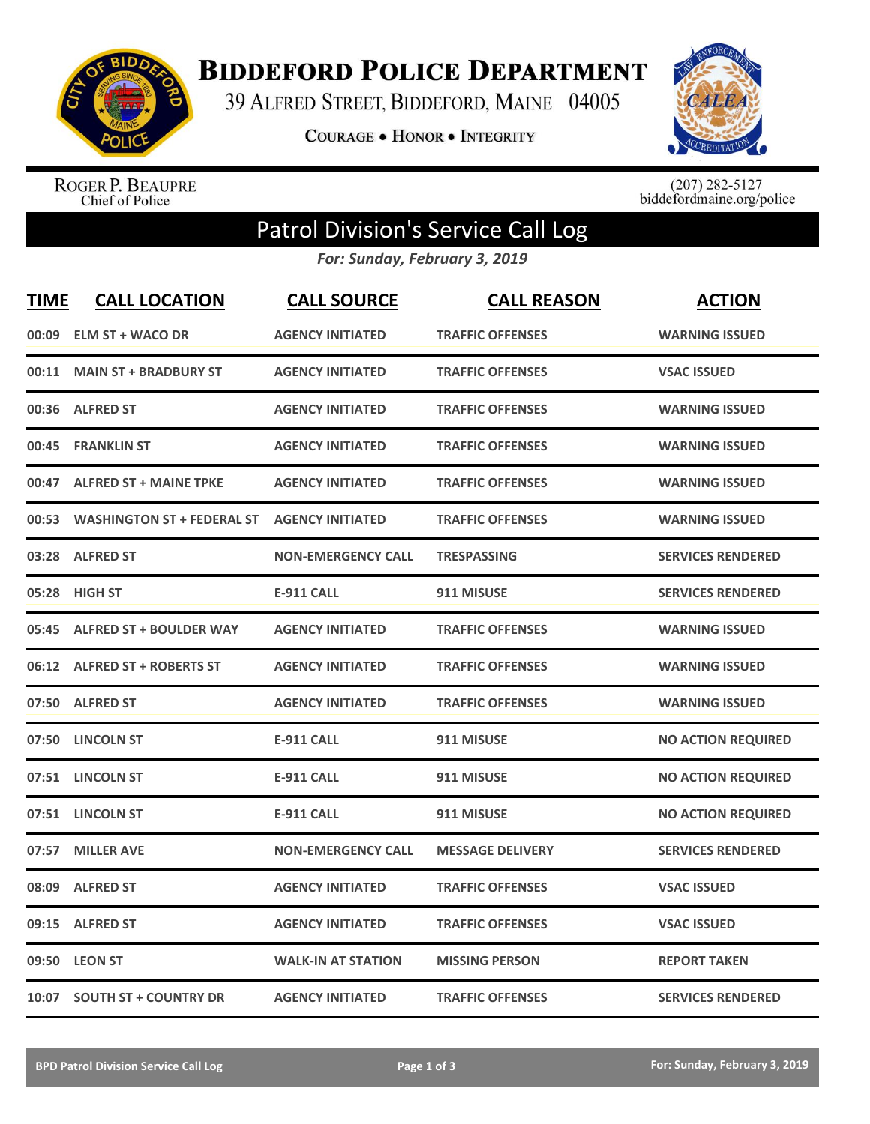

**BIDDEFORD POLICE DEPARTMENT** 

39 ALFRED STREET, BIDDEFORD, MAINE 04005

**COURAGE . HONOR . INTEGRITY** 



ROGER P. BEAUPRE<br>Chief of Police

 $(207)$  282-5127<br>biddefordmaine.org/police

## Patrol Division's Service Call Log

*For: Sunday, February 3, 2019*

| <b>TIME</b> | <b>CALL LOCATION</b>             | <b>CALL SOURCE</b>        | <b>CALL REASON</b>      | <b>ACTION</b>             |
|-------------|----------------------------------|---------------------------|-------------------------|---------------------------|
| 00:09       | <b>ELM ST + WACO DR</b>          | <b>AGENCY INITIATED</b>   | <b>TRAFFIC OFFENSES</b> | <b>WARNING ISSUED</b>     |
| 00:11       | <b>MAIN ST + BRADBURY ST</b>     | <b>AGENCY INITIATED</b>   | <b>TRAFFIC OFFENSES</b> | <b>VSAC ISSUED</b>        |
|             | 00:36 ALFRED ST                  | <b>AGENCY INITIATED</b>   | <b>TRAFFIC OFFENSES</b> | <b>WARNING ISSUED</b>     |
| 00:45       | <b>FRANKLIN ST</b>               | <b>AGENCY INITIATED</b>   | <b>TRAFFIC OFFENSES</b> | <b>WARNING ISSUED</b>     |
|             | 00:47 ALFRED ST + MAINE TPKE     | <b>AGENCY INITIATED</b>   | <b>TRAFFIC OFFENSES</b> | <b>WARNING ISSUED</b>     |
|             | 00:53 WASHINGTON ST + FEDERAL ST | <b>AGENCY INITIATED</b>   | <b>TRAFFIC OFFENSES</b> | <b>WARNING ISSUED</b>     |
|             | 03:28 ALFRED ST                  | <b>NON-EMERGENCY CALL</b> | <b>TRESPASSING</b>      | <b>SERVICES RENDERED</b>  |
|             | 05:28 HIGH ST                    | <b>E-911 CALL</b>         | 911 MISUSE              | <b>SERVICES RENDERED</b>  |
|             | 05:45 ALFRED ST + BOULDER WAY    | <b>AGENCY INITIATED</b>   | <b>TRAFFIC OFFENSES</b> | <b>WARNING ISSUED</b>     |
|             | 06:12 ALFRED ST + ROBERTS ST     | <b>AGENCY INITIATED</b>   | <b>TRAFFIC OFFENSES</b> | <b>WARNING ISSUED</b>     |
|             | 07:50 ALFRED ST                  | <b>AGENCY INITIATED</b>   | <b>TRAFFIC OFFENSES</b> | <b>WARNING ISSUED</b>     |
| 07:50       | <b>LINCOLN ST</b>                | <b>E-911 CALL</b>         | 911 MISUSE              | <b>NO ACTION REQUIRED</b> |
|             | 07:51 LINCOLN ST                 | <b>E-911 CALL</b>         | 911 MISUSE              | <b>NO ACTION REQUIRED</b> |
|             | 07:51 LINCOLN ST                 | <b>E-911 CALL</b>         | 911 MISUSE              | <b>NO ACTION REQUIRED</b> |
| 07:57       | <b>MILLER AVE</b>                | <b>NON-EMERGENCY CALL</b> | <b>MESSAGE DELIVERY</b> | <b>SERVICES RENDERED</b>  |
| 08:09       | <b>ALFRED ST</b>                 | <b>AGENCY INITIATED</b>   | <b>TRAFFIC OFFENSES</b> | <b>VSAC ISSUED</b>        |
|             | 09:15 ALFRED ST                  | <b>AGENCY INITIATED</b>   | <b>TRAFFIC OFFENSES</b> | <b>VSAC ISSUED</b>        |
|             | 09:50 LEON ST                    | <b>WALK-IN AT STATION</b> | <b>MISSING PERSON</b>   | <b>REPORT TAKEN</b>       |
|             | 10:07 SOUTH ST + COUNTRY DR      | <b>AGENCY INITIATED</b>   | <b>TRAFFIC OFFENSES</b> | <b>SERVICES RENDERED</b>  |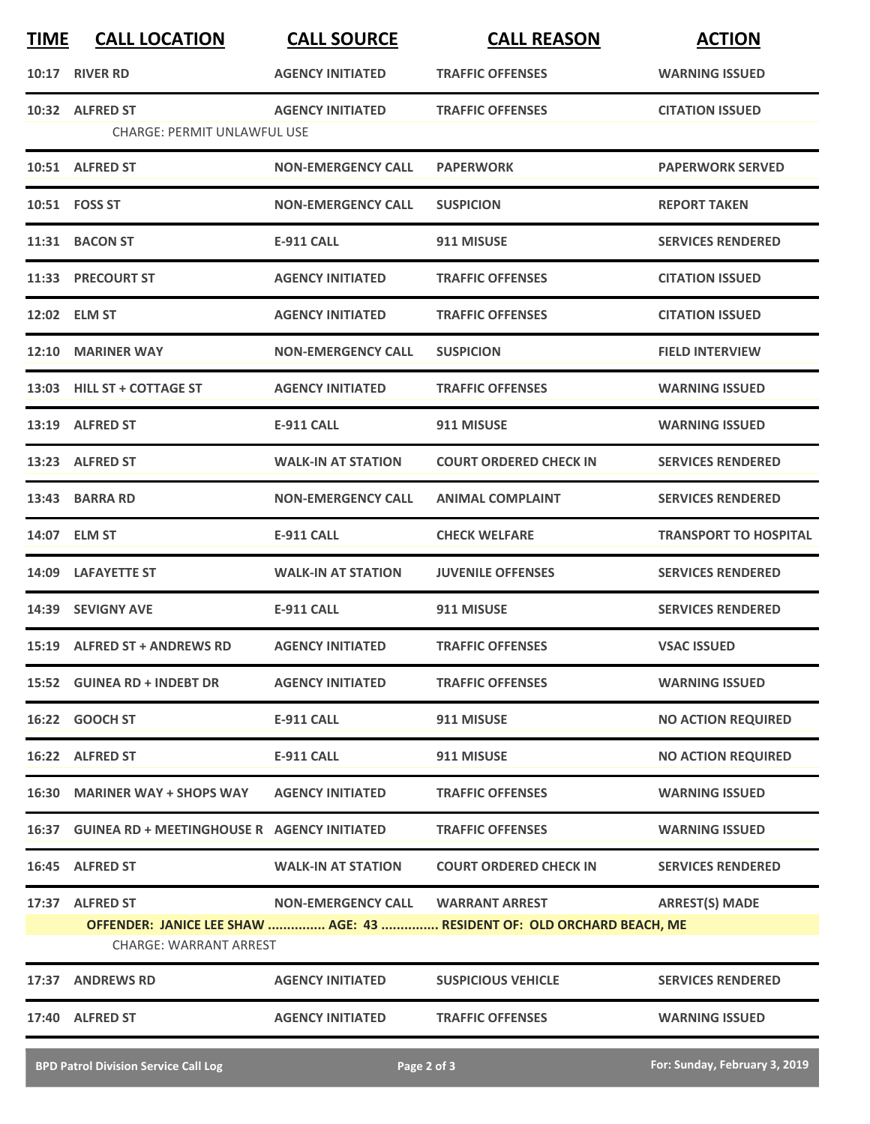| <b>TIME</b> | <b>CALL LOCATION</b>                              | <b>CALL SOURCE</b>                | <b>CALL REASON</b>                                                     | <b>ACTION</b>                |
|-------------|---------------------------------------------------|-----------------------------------|------------------------------------------------------------------------|------------------------------|
| 10:17       | <b>RIVER RD</b>                                   | <b>AGENCY INITIATED</b>           | <b>TRAFFIC OFFENSES</b>                                                | <b>WARNING ISSUED</b>        |
|             | 10:32 ALFRED ST                                   | <b>AGENCY INITIATED</b>           | <b>TRAFFIC OFFENSES</b>                                                | <b>CITATION ISSUED</b>       |
|             | <b>CHARGE: PERMIT UNLAWFUL USE</b>                |                                   |                                                                        |                              |
|             | 10:51 ALFRED ST                                   | <b>NON-EMERGENCY CALL</b>         | <b>PAPERWORK</b>                                                       | <b>PAPERWORK SERVED</b>      |
|             | 10:51 FOSS ST                                     | <b>NON-EMERGENCY CALL</b>         | <b>SUSPICION</b>                                                       | <b>REPORT TAKEN</b>          |
|             | 11:31 BACON ST                                    | <b>E-911 CALL</b>                 | 911 MISUSE                                                             | <b>SERVICES RENDERED</b>     |
|             | 11:33 PRECOURT ST                                 | <b>AGENCY INITIATED</b>           | <b>TRAFFIC OFFENSES</b>                                                | <b>CITATION ISSUED</b>       |
|             | 12:02 ELM ST                                      | <b>AGENCY INITIATED</b>           | <b>TRAFFIC OFFENSES</b>                                                | <b>CITATION ISSUED</b>       |
| 12:10       | <b>MARINER WAY</b>                                | <b>NON-EMERGENCY CALL</b>         | <b>SUSPICION</b>                                                       | <b>FIELD INTERVIEW</b>       |
|             | 13:03 HILL ST + COTTAGE ST                        | <b>AGENCY INITIATED</b>           | <b>TRAFFIC OFFENSES</b>                                                | <b>WARNING ISSUED</b>        |
|             | 13:19 ALFRED ST                                   | <b>E-911 CALL</b>                 | 911 MISUSE                                                             | <b>WARNING ISSUED</b>        |
|             | 13:23 ALFRED ST                                   | <b>WALK-IN AT STATION</b>         | <b>COURT ORDERED CHECK IN</b>                                          | <b>SERVICES RENDERED</b>     |
| 13:43       | <b>BARRA RD</b>                                   | <b>NON-EMERGENCY CALL</b>         | <b>ANIMAL COMPLAINT</b>                                                | <b>SERVICES RENDERED</b>     |
|             | 14:07 ELM ST                                      | <b>E-911 CALL</b>                 | <b>CHECK WELFARE</b>                                                   | <b>TRANSPORT TO HOSPITAL</b> |
| 14:09       | <b>LAFAYETTE ST</b>                               | <b>WALK-IN AT STATION</b>         | <b>JUVENILE OFFENSES</b>                                               | <b>SERVICES RENDERED</b>     |
|             | 14:39 SEVIGNY AVE                                 | <b>E-911 CALL</b>                 | 911 MISUSE                                                             | <b>SERVICES RENDERED</b>     |
|             | 15:19 ALFRED ST + ANDREWS RD                      | <b>AGENCY INITIATED</b>           | <b>TRAFFIC OFFENSES</b>                                                | <b>VSAC ISSUED</b>           |
|             | 15:52 GUINEA RD + INDEBT DR                       | <b>AGENCY INITIATED</b>           | <b>TRAFFIC OFFENSES</b>                                                | <b>WARNING ISSUED</b>        |
|             | 16:22 GOOCH ST                                    | E-911 CALL                        | 911 MISUSE                                                             | <b>NO ACTION REQUIRED</b>    |
|             | 16:22 ALFRED ST                                   | <b>E-911 CALL</b>                 | 911 MISUSE                                                             | <b>NO ACTION REQUIRED</b>    |
|             | 16:30 MARINER WAY + SHOPS WAY                     | <b>AGENCY INITIATED</b>           | <b>TRAFFIC OFFENSES</b>                                                | <b>WARNING ISSUED</b>        |
|             | 16:37 GUINEA RD + MEETINGHOUSE R AGENCY INITIATED |                                   | <b>TRAFFIC OFFENSES</b>                                                | <b>WARNING ISSUED</b>        |
|             | 16:45 ALFRED ST                                   | <b>WALK-IN AT STATION</b>         | <b>COURT ORDERED CHECK IN</b>                                          | <b>SERVICES RENDERED</b>     |
|             | 17:37 ALFRED ST                                   | NON-EMERGENCY CALL WARRANT ARREST |                                                                        | <b>ARREST(S) MADE</b>        |
|             | <b>CHARGE: WARRANT ARREST</b>                     |                                   | OFFENDER: JANICE LEE SHAW  AGE: 43  RESIDENT OF: OLD ORCHARD BEACH, ME |                              |
|             | 17:37 ANDREWS RD                                  | <b>AGENCY INITIATED</b>           | <b>SUSPICIOUS VEHICLE</b>                                              | <b>SERVICES RENDERED</b>     |
|             | 17:40 ALFRED ST                                   | <b>AGENCY INITIATED</b>           | <b>TRAFFIC OFFENSES</b>                                                | <b>WARNING ISSUED</b>        |